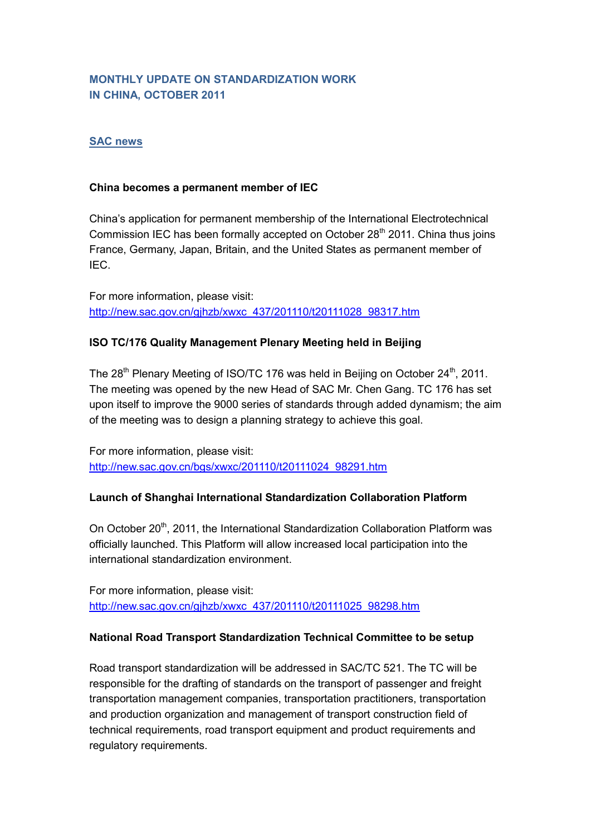# **MONTHLY UPDATE ON STANDARDIZATION WORK IN CHINA, OCTOBER 2011**

#### **SAC news**

#### **China becomes a permanent member of IEC**

China's application for permanent membership of the International Electrotechnical Commission IEC has been formally accepted on October 28<sup>th</sup> 2011. China thus ioins France, Germany, Japan, Britain, and the United States as permanent member of IEC.

For more information, please visit: [http://new.sac.gov.cn/gjhzb/xwxc\\_437/201110/t20111028\\_98317.htm](http://new.sac.gov.cn/gjhzb/xwxc_437/201110/t20111028_98317.htm)

## **ISO TC/176 Quality Management Plenary Meeting held in Beijing**

The  $28<sup>th</sup>$  Plenary Meeting of ISO/TC 176 was held in Beijing on October  $24<sup>th</sup>$ , 2011. The meeting was opened by the new Head of SAC Mr. Chen Gang. TC 176 has set upon itself to improve the 9000 series of standards through added dynamism; the aim of the meeting was to design a planning strategy to achieve this goal.

For more information, please visit: [http://new.sac.gov.cn/bgs/xwxc/201110/t20111024\\_98291.htm](http://new.sac.gov.cn/bgs/xwxc/201110/t20111024_98291.htm)

### **Launch of Shanghai International Standardization Collaboration Platform**

On October 20<sup>th</sup>, 2011, the International Standardization Collaboration Platform was officially launched. This Platform will allow increased local participation into the international standardization environment.

For more information, please visit: [http://new.sac.gov.cn/gjhzb/xwxc\\_437/201110/t20111025\\_98298.htm](http://new.sac.gov.cn/gjhzb/xwxc_437/201110/t20111025_98298.htm)

#### **National Road Transport Standardization Technical Committee to be setup**

Road transport standardization will be addressed in SAC/TC 521. The TC will be responsible for the drafting of standards on the transport of passenger and freight transportation management companies, transportation practitioners, transportation and production organization and management of transport construction field of technical requirements, road transport equipment and product requirements and regulatory requirements.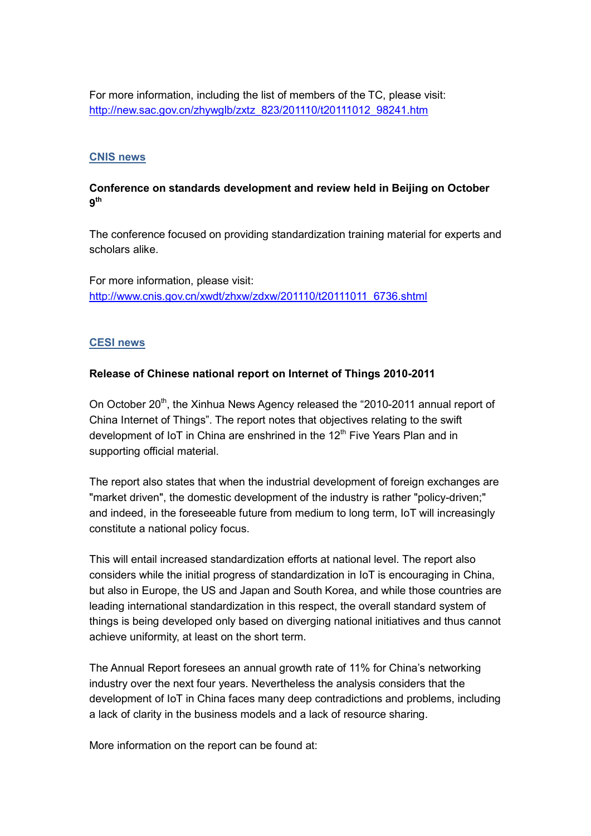For more information, including the list of members of the TC, please visit: [http://new.sac.gov.cn/zhywglb/zxtz\\_823/201110/t20111012\\_98241.htm](http://new.sac.gov.cn/zhywglb/zxtz_823/201110/t20111012_98241.htm)

#### **CNIS news**

### **Conference on standards development and review held in Beijing on October 9th**

The conference focused on providing standardization training material for experts and scholars alike.

For more information, please visit: [http://www.cnis.gov.cn/xwdt/zhxw/zdxw/201110/t20111011\\_6736.shtml](http://www.cnis.gov.cn/xwdt/zhxw/zdxw/201110/t20111011_6736.shtml)

#### **CESI news**

#### **Release of Chinese national report on Internet of Things 2010-2011**

On October 20<sup>th</sup>, the Xinhua News Agency released the "2010-2011 annual report of China Internet of Things". The report notes that objectives relating to the swift development of IoT in China are enshrined in the  $12<sup>th</sup>$  Five Years Plan and in supporting official material.

The report also states that when the industrial development of foreign exchanges are "market driven", the domestic development of the industry is rather "policy-driven;" and indeed, in the foreseeable future from medium to long term, IoT will increasingly constitute a national policy focus.

This will entail increased standardization efforts at national level. The report also considers while the initial progress of standardization in IoT is encouraging in China, but also in Europe, the US and Japan and South Korea, and while those countries are leading international standardization in this respect, the overall standard system of things is being developed only based on diverging national initiatives and thus cannot achieve uniformity, at least on the short term.

The Annual Report foresees an annual growth rate of 11% for China's networking industry over the next four years. Nevertheless the analysis considers that the development of IoT in China faces many deep contradictions and problems, including a lack of clarity in the business models and a lack of resource sharing.

More information on the report can be found at: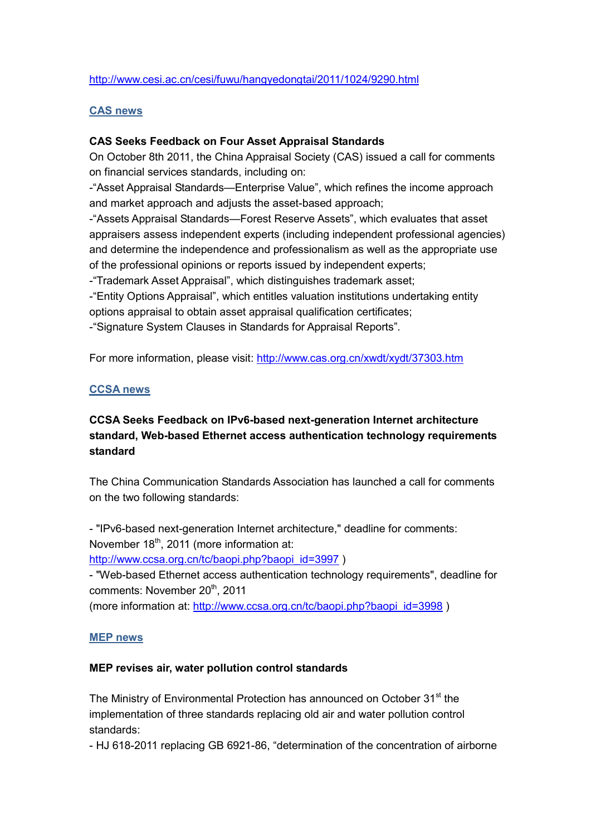## <http://www.cesi.ac.cn/cesi/fuwu/hangyedongtai/2011/1024/9290.html>

#### **CAS news**

## **CAS Seeks Feedback on Four Asset Appraisal Standards**

On October 8th 2011, the China Appraisal Society (CAS) issued a call for comments on financial services standards, including on:

-"Asset Appraisal Standards—Enterprise Value", which refines the income approach and market approach and adjusts the asset-based approach;

-"Assets Appraisal Standards—Forest Reserve Assets", which evaluates that asset appraisers assess independent experts (including independent professional agencies) and determine the independence and professionalism as well as the appropriate use of the professional opinions or reports issued by independent experts;

-"Trademark Asset Appraisal", which distinguishes trademark asset;

-"Entity Options Appraisal", which entitles valuation institutions undertaking entity options appraisal to obtain asset appraisal qualification certificates;

-"Signature System Clauses in Standards for Appraisal Reports".

For more information, please visit:<http://www.cas.org.cn/xwdt/xydt/37303.htm>

## **CCSA news**

## **CCSA Seeks Feedback on IPv6-based next-generation Internet architecture standard, Web-based Ethernet access authentication technology requirements standard**

The China Communication Standards Association has launched a call for comments on the two following standards:

- "IPv6-based next-generation Internet architecture," deadline for comments: November  $18<sup>th</sup>$ , 2011 (more information at:

[http://www.ccsa.org.cn/tc/baopi.php?baopi\\_id=3997](http://www.ccsa.org.cn/tc/baopi.php?baopi_id=3997) )

- "Web-based Ethernet access authentication technology requirements", deadline for comments: November 20<sup>th</sup>, 2011

(more information at: [http://www.ccsa.org.cn/tc/baopi.php?baopi\\_id=3998](http://www.ccsa.org.cn/tc/baopi.php?baopi_id=3998) )

#### **MEP news**

#### **MEP revises air, water pollution control standards**

The Ministry of Environmental Protection has announced on October 31<sup>st</sup> the implementation of three standards replacing old air and water pollution control standards:

- HJ 618-2011 replacing GB 6921-86, "determination of the concentration of airborne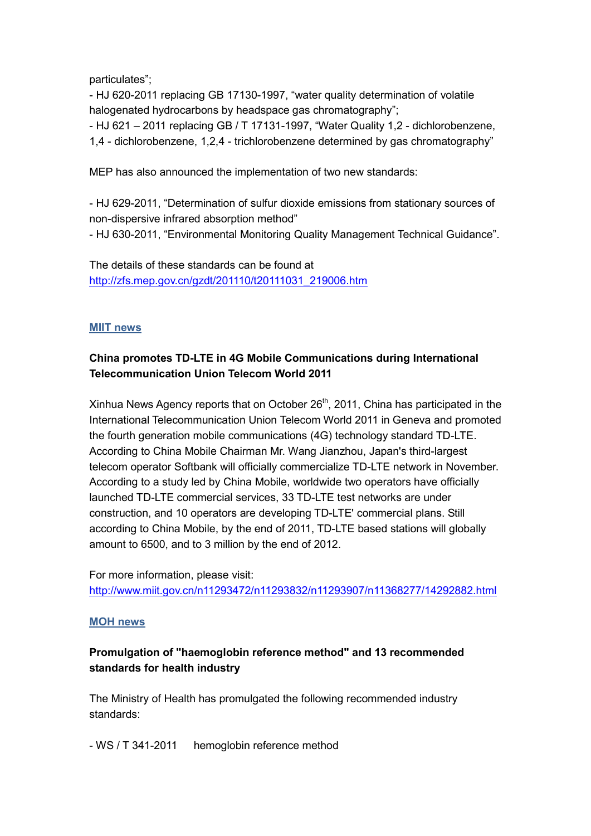particulates";

- HJ 620-2011 replacing GB 17130-1997, "water quality determination of volatile halogenated hydrocarbons by headspace gas chromatography";

- HJ 621 – 2011 replacing GB / T 17131-1997, "Water Quality 1,2 - dichlorobenzene, 1,4 - dichlorobenzene, 1,2,4 - trichlorobenzene determined by gas chromatography"

MEP has also announced the implementation of two new standards:

- HJ 629-2011, "Determination of sulfur dioxide emissions from stationary sources of non-dispersive infrared absorption method" - HJ 630-2011, "Environmental Monitoring Quality Management Technical Guidance".

The details of these standards can be found at [http://zfs.mep.gov.cn/gzdt/201110/t20111031\\_219006.htm](http://zfs.mep.gov.cn/gzdt/201110/t20111031_219006.htm)

## **MIIT news**

# **China promotes TD-LTE in 4G Mobile Communications during International Telecommunication Union Telecom World 2011**

Xinhua News Agency reports that on October 26<sup>th</sup>, 2011, China has participated in the International Telecommunication Union Telecom World 2011 in Geneva and promoted the fourth generation mobile communications (4G) technology standard TD-LTE. According to China Mobile Chairman Mr. Wang Jianzhou, Japan's third-largest telecom operator Softbank will officially commercialize TD-LTE network in November. According to a study led by China Mobile, worldwide two operators have officially launched TD-LTE commercial services, 33 TD-LTE test networks are under construction, and 10 operators are developing TD-LTE' commercial plans. Still according to China Mobile, by the end of 2011, TD-LTE based stations will globally amount to 6500, and to 3 million by the end of 2012.

For more information, please visit: <http://www.miit.gov.cn/n11293472/n11293832/n11293907/n11368277/14292882.html>

#### **MOH news**

# **Promulgation of "haemoglobin reference method" and 13 recommended standards for health industry**

The Ministry of Health has promulgated the following recommended industry standards:

- WS / T 341-2011 hemoglobin reference method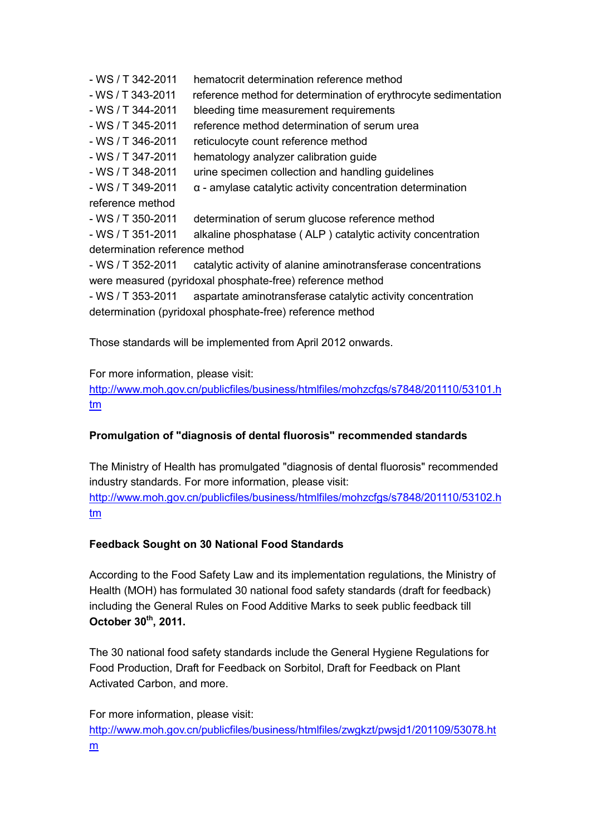- WS / T 342-2011 hematocrit determination reference method
- WS / T 343-2011 reference method for determination of erythrocyte sedimentation
- WS / T 344-2011 bleeding time measurement requirements
- WS / T 345-2011 reference method determination of serum urea
- WS / T 346-2011 reticulocyte count reference method
- WS / T 347-2011 hematology analyzer calibration guide
- WS / T 348-2011 urine specimen collection and handling guidelines
- WS / T 349-2011 α amylase catalytic activity concentration determination
- reference method
- WS / T 350-2011 determination of serum glucose reference method

- WS / T 351-2011 alkaline phosphatase ( ALP ) catalytic activity concentration determination reference method

- WS / T 352-2011 catalytic activity of alanine aminotransferase concentrations were measured (pyridoxal phosphate-free) reference method

- WS / T 353-2011 aspartate aminotransferase catalytic activity concentration determination (pyridoxal phosphate-free) reference method

Those standards will be implemented from April 2012 onwards.

## For more information, please visit:

[http://www.moh.gov.cn/publicfiles/business/htmlfiles/mohzcfgs/s7848/201110/53101.h](http://www.moh.gov.cn/publicfiles/business/htmlfiles/mohzcfgs/s7848/201110/53101.htm) [tm](http://www.moh.gov.cn/publicfiles/business/htmlfiles/mohzcfgs/s7848/201110/53101.htm)

## **Promulgation of "diagnosis of dental fluorosis" recommended standards**

The Ministry of Health has promulgated "diagnosis of dental fluorosis" recommended industry standards. For more information, please visit: [http://www.moh.gov.cn/publicfiles/business/htmlfiles/mohzcfgs/s7848/201110/53102.h](http://www.moh.gov.cn/publicfiles/business/htmlfiles/mohzcfgs/s7848/201110/53102.htm) [tm](http://www.moh.gov.cn/publicfiles/business/htmlfiles/mohzcfgs/s7848/201110/53102.htm)

## **Feedback Sought on 30 National Food Standards**

According to the Food Safety Law and its implementation regulations, the Ministry of Health (MOH) has formulated 30 national food safety standards (draft for feedback) including the General Rules on Food Additive Marks to seek public feedback till **October 30th, 2011.** 

The 30 national food safety standards include the General Hygiene Regulations for Food Production, Draft for Feedback on Sorbitol, Draft for Feedback on Plant Activated Carbon, and more.

For more information, please visit: [http://www.moh.gov.cn/publicfiles/business/htmlfiles/zwgkzt/pwsjd1/201109/53078.ht](http://www.moh.gov.cn/publicfiles/business/htmlfiles/zwgkzt/pwsjd1/201109/53078.htm) [m](http://www.moh.gov.cn/publicfiles/business/htmlfiles/zwgkzt/pwsjd1/201109/53078.htm)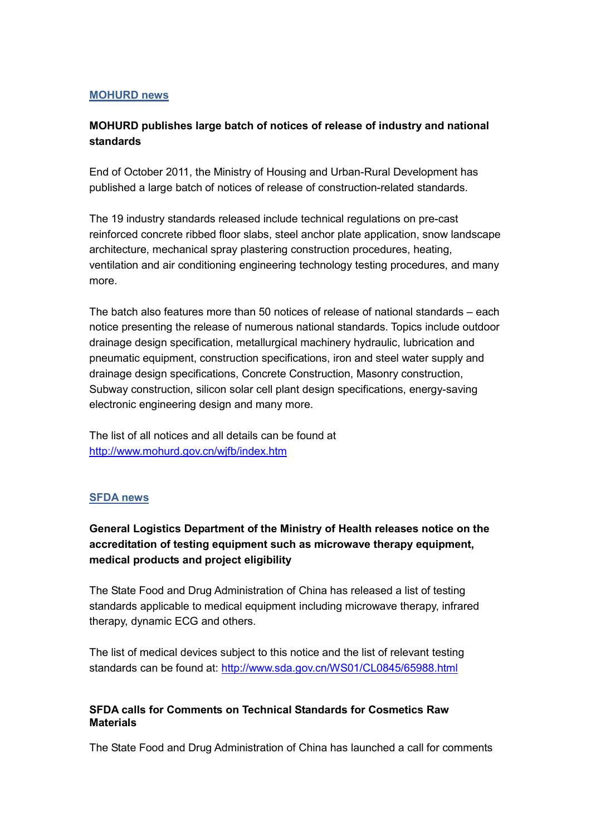### **MOHURD news**

# **MOHURD publishes large batch of notices of release of industry and national standards**

End of October 2011, the Ministry of Housing and Urban-Rural Development has published a large batch of notices of release of construction-related standards.

The 19 industry standards released include technical regulations on pre-cast reinforced concrete ribbed floor slabs, steel anchor plate application, snow landscape architecture, mechanical spray plastering construction procedures, heating, ventilation and air conditioning engineering technology testing procedures, and many more.

The batch also features more than 50 notices of release of national standards – each notice presenting the release of numerous national standards. Topics include outdoor drainage design specification, metallurgical machinery hydraulic, lubrication and pneumatic equipment, construction specifications, iron and steel water supply and drainage design specifications, Concrete Construction, Masonry construction, Subway construction, silicon solar cell plant design specifications, energy-saving electronic engineering design and many more.

The list of all notices and all details can be found at <http://www.mohurd.gov.cn/wjfb/index.htm>

#### **SFDA news**

# **General Logistics Department of the Ministry of Health releases notice on the accreditation of testing equipment such as microwave therapy equipment, medical products and project eligibility**

The State Food and Drug Administration of China has released a list of testing standards applicable to medical equipment including microwave therapy, infrared therapy, dynamic ECG and others.

The list of medical devices subject to this notice and the list of relevant testing standards can be found at:<http://www.sda.gov.cn/WS01/CL0845/65988.html>

## **SFDA calls for Comments on Technical Standards for Cosmetics Raw Materials**

The State Food and Drug Administration of China has launched a call for comments